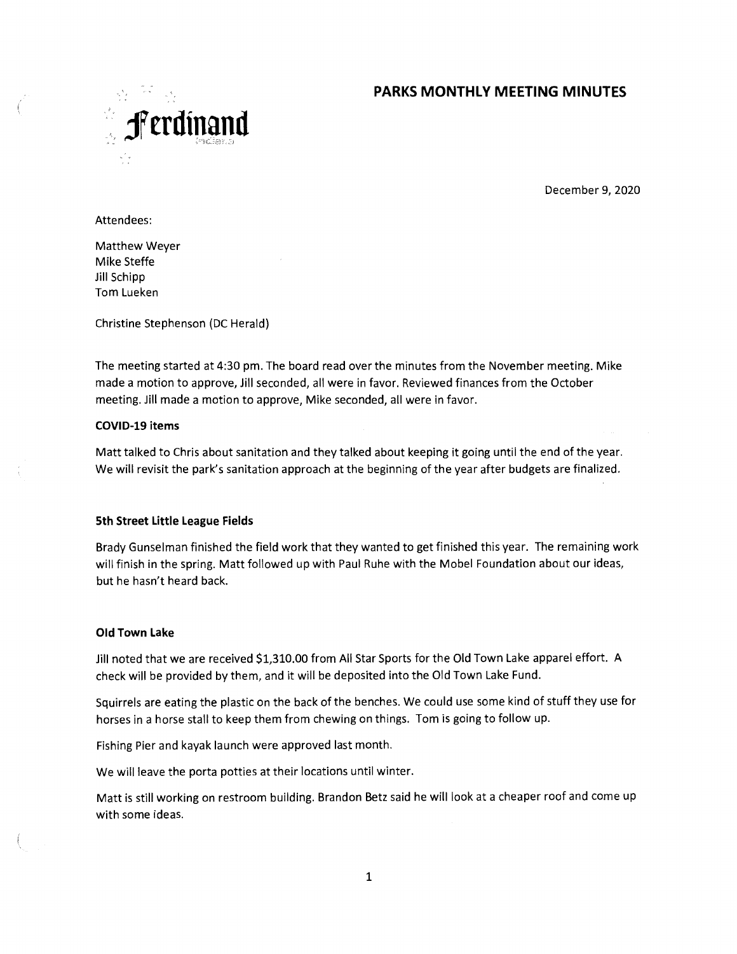## **PARKS MONTHLY MEETING MINUTES**



December 9, 2020

Attendees:

Matthew Weyer Mike Steffe Jill Schipp Tom Lueken

Christine Stephenson (DC Herald)

The meeting started at 4:30 pm. The board read over the minutes from the November meeting. Mike made a motion to approve, Jill seconded, all were in favor. Reviewed finances from the October meeting. Jill made a motion to approve, Mike seconded, all were in favor.

#### **COVID-19 items**

Matt talked to Chris about sanitation and they talked about keeping it going until the end of the year. We will revisit the park's sanitation approach at the beginning of the year after budgets are finalized.

## **5th Street Little League Fields**

Brady Gunselman finished the field work that they wanted to get finished this year. The remaining work will finish in the spring. Matt followed up with Paul Ruhe with the Mobel Foundation about our ideas, but he hasn't heard back.

#### **Old Town Lake**

Jill noted that we are received \$1,310.00 from All Star Sports for the Old Town Lake apparel effort. A check will be provided by them, and it will be deposited into the Old Town Lake Fund.

Squirrels are eating the plastic on the back of the benches. We could use some kind of stuff they use for horses in a horse stall to keep them from chewing on things. Tom is going to follow up.

Fishing Pier and kayak launch were approved last month.

We will leave the porta potties at their locations until winter.

Matt is still working on restroom building. Brandon Betz said he will look at a cheaper roof and come up with some ideas.